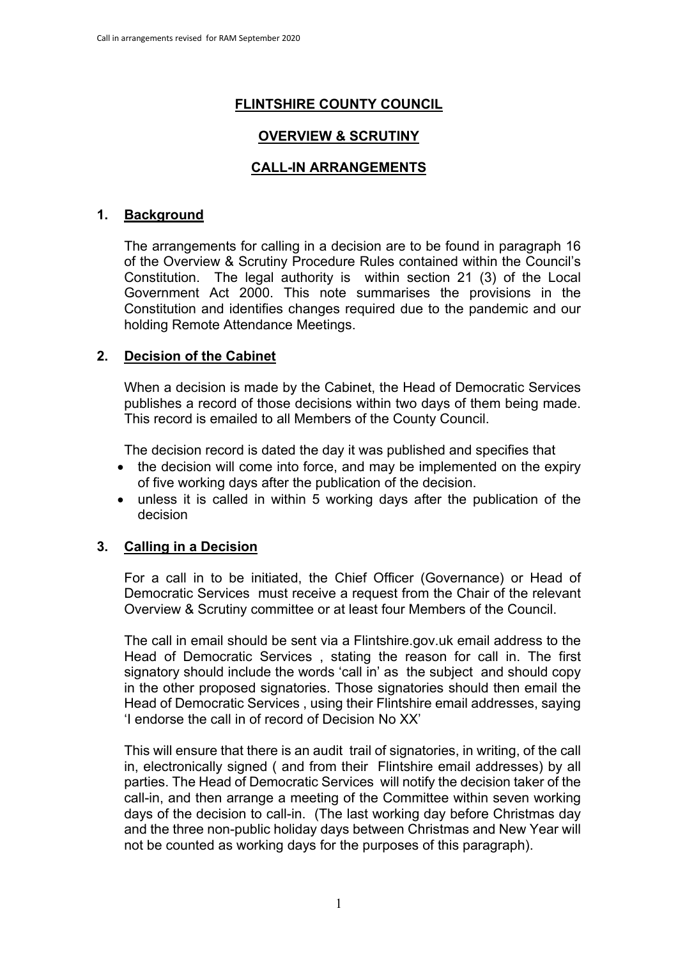# **FLINTSHIRE COUNTY COUNCIL**

## **OVERVIEW & SCRUTINY**

### **CALL-IN ARRANGEMENTS**

#### **1. Background**

The arrangements for calling in a decision are to be found in paragraph 16 of the Overview & Scrutiny Procedure Rules contained within the Council's Constitution. The legal authority is within section 21 (3) of the Local Government Act 2000. This note summarises the provisions in the Constitution and identifies changes required due to the pandemic and our holding Remote Attendance Meetings.

#### **2. Decision of the Cabinet**

When a decision is made by the Cabinet, the Head of Democratic Services publishes a record of those decisions within two days of them being made. This record is emailed to all Members of the County Council.

The decision record is dated the day it was published and specifies that

- the decision will come into force, and may be implemented on the expiry of five working days after the publication of the decision.
- unless it is called in within 5 working days after the publication of the decision

### **3. Calling in a Decision**

For a call in to be initiated, the Chief Officer (Governance) or Head of Democratic Services must receive a request from the Chair of the relevant Overview & Scrutiny committee or at least four Members of the Council.

The call in email should be sent via a Flintshire.gov.uk email address to the Head of Democratic Services , stating the reason for call in. The first signatory should include the words 'call in' as the subject and should copy in the other proposed signatories. Those signatories should then email the Head of Democratic Services , using their Flintshire email addresses, saying 'I endorse the call in of record of Decision No XX'

This will ensure that there is an audit trail of signatories, in writing, of the call in, electronically signed ( and from their Flintshire email addresses) by all parties. The Head of Democratic Services will notify the decision taker of the call-in, and then arrange a meeting of the Committee within seven working days of the decision to call-in. (The last working day before Christmas day and the three non-public holiday days between Christmas and New Year will not be counted as working days for the purposes of this paragraph).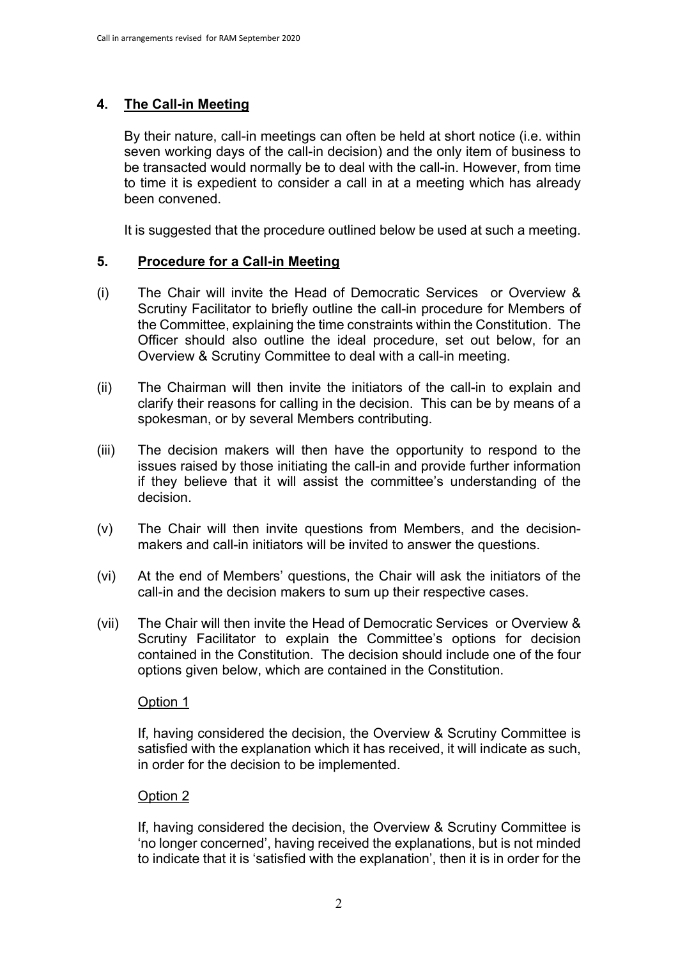## **4. The Call-in Meeting**

By their nature, call-in meetings can often be held at short notice (i.e. within seven working days of the call-in decision) and the only item of business to be transacted would normally be to deal with the call-in. However, from time to time it is expedient to consider a call in at a meeting which has already been convened.

It is suggested that the procedure outlined below be used at such a meeting.

#### **5. Procedure for a Call-in Meeting**

- (i) The Chair will invite the Head of Democratic Services or Overview & Scrutiny Facilitator to briefly outline the call-in procedure for Members of the Committee, explaining the time constraints within the Constitution. The Officer should also outline the ideal procedure, set out below, for an Overview & Scrutiny Committee to deal with a call-in meeting.
- (ii) The Chairman will then invite the initiators of the call-in to explain and clarify their reasons for calling in the decision. This can be by means of a spokesman, or by several Members contributing.
- (iii) The decision makers will then have the opportunity to respond to the issues raised by those initiating the call-in and provide further information if they believe that it will assist the committee's understanding of the decision.
- (v) The Chair will then invite questions from Members, and the decisionmakers and call-in initiators will be invited to answer the questions.
- (vi) At the end of Members' questions, the Chair will ask the initiators of the call-in and the decision makers to sum up their respective cases.
- (vii) The Chair will then invite the Head of Democratic Services or Overview & Scrutiny Facilitator to explain the Committee's options for decision contained in the Constitution. The decision should include one of the four options given below, which are contained in the Constitution.

#### Option 1

If, having considered the decision, the Overview & Scrutiny Committee is satisfied with the explanation which it has received, it will indicate as such, in order for the decision to be implemented.

#### Option 2

If, having considered the decision, the Overview & Scrutiny Committee is 'no longer concerned', having received the explanations, but is not minded to indicate that it is 'satisfied with the explanation', then it is in order for the